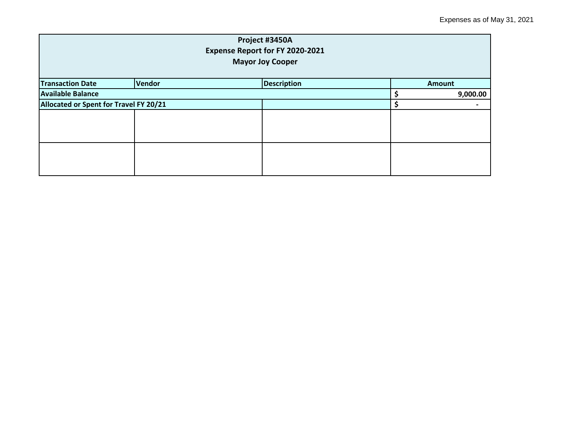| Project #3450A<br>Expense Report for FY 2020-2021<br><b>Mayor Joy Cooper</b> |        |                    |  |               |  |
|------------------------------------------------------------------------------|--------|--------------------|--|---------------|--|
| <b>Transaction Date</b>                                                      | Vendor | <b>Description</b> |  | <b>Amount</b> |  |
| <b>Available Balance</b>                                                     |        |                    |  | 9,000.00      |  |
| Allocated or Spent for Travel FY 20/21                                       |        |                    |  |               |  |
|                                                                              |        |                    |  |               |  |
|                                                                              |        |                    |  |               |  |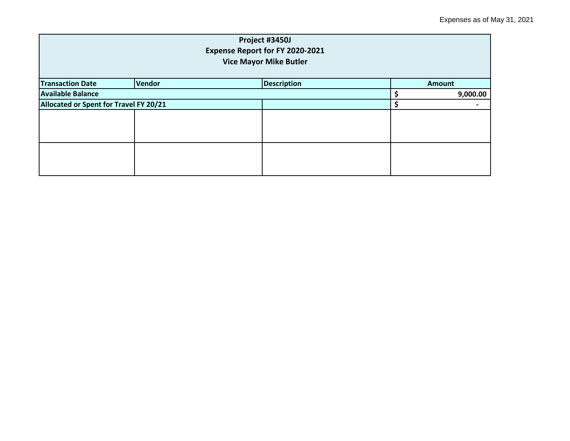| Project #3450J<br>Expense Report for FY 2020-2021<br><b>Vice Mayor Mike Butler</b> |  |               |  |          |  |
|------------------------------------------------------------------------------------|--|---------------|--|----------|--|
| <b>Transaction Date</b>                                                            |  | <b>Amount</b> |  |          |  |
| <b>Available Balance</b>                                                           |  |               |  | 9,000.00 |  |
| Allocated or Spent for Travel FY 20/21                                             |  |               |  |          |  |
|                                                                                    |  |               |  |          |  |
|                                                                                    |  |               |  |          |  |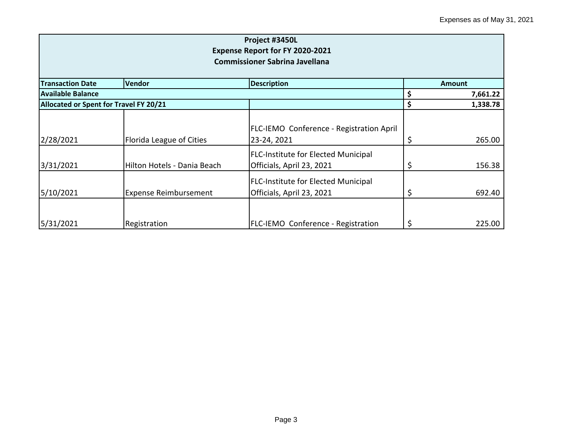| Project #3450L<br><b>Expense Report for FY 2020-2021</b><br><b>Commissioner Sabrina Javellana</b> |                                     |                                                                         |    |               |  |
|---------------------------------------------------------------------------------------------------|-------------------------------------|-------------------------------------------------------------------------|----|---------------|--|
| <b>Transaction Date</b>                                                                           | <b>Description</b><br><b>Vendor</b> |                                                                         |    | <b>Amount</b> |  |
| Available Balance                                                                                 |                                     |                                                                         |    | 7,661.22      |  |
| Allocated or Spent for Travel FY 20/21                                                            |                                     |                                                                         | \$ | 1,338.78      |  |
| 2/28/2021                                                                                         | Florida League of Cities            | <b>FLC-IEMO Conference - Registration April</b><br>23-24, 2021          | Ş  | 265.00        |  |
| 3/31/2021                                                                                         | Hilton Hotels - Dania Beach         | <b>FLC-Institute for Elected Municipal</b><br>Officials, April 23, 2021 |    | 156.38        |  |
| 5/10/2021                                                                                         | <b>Expense Reimbursement</b>        | <b>FLC-Institute for Elected Municipal</b><br>Officials, April 23, 2021 | \$ | 692.40        |  |
| 5/31/2021                                                                                         | Registration                        | <b>FLC-IEMO Conference - Registration</b>                               |    | 225.00        |  |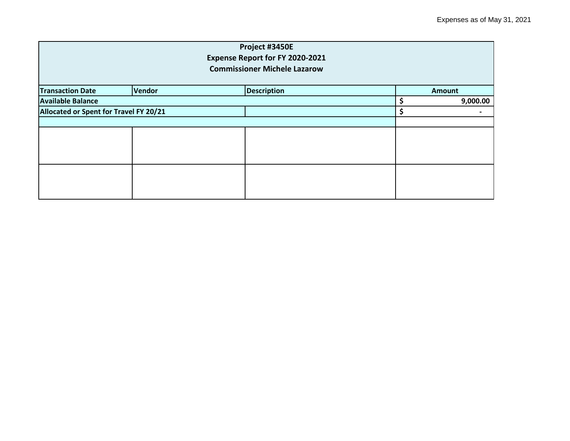| Project #3450E<br>Expense Report for FY 2020-2021<br><b>Commissioner Michele Lazarow</b> |  |  |  |          |  |
|------------------------------------------------------------------------------------------|--|--|--|----------|--|
|                                                                                          |  |  |  |          |  |
| <b>Available Balance</b>                                                                 |  |  |  | 9,000.00 |  |
| Allocated or Spent for Travel FY 20/21                                                   |  |  |  | \$       |  |
|                                                                                          |  |  |  |          |  |
|                                                                                          |  |  |  |          |  |
|                                                                                          |  |  |  |          |  |
|                                                                                          |  |  |  |          |  |
|                                                                                          |  |  |  |          |  |
|                                                                                          |  |  |  |          |  |
|                                                                                          |  |  |  |          |  |